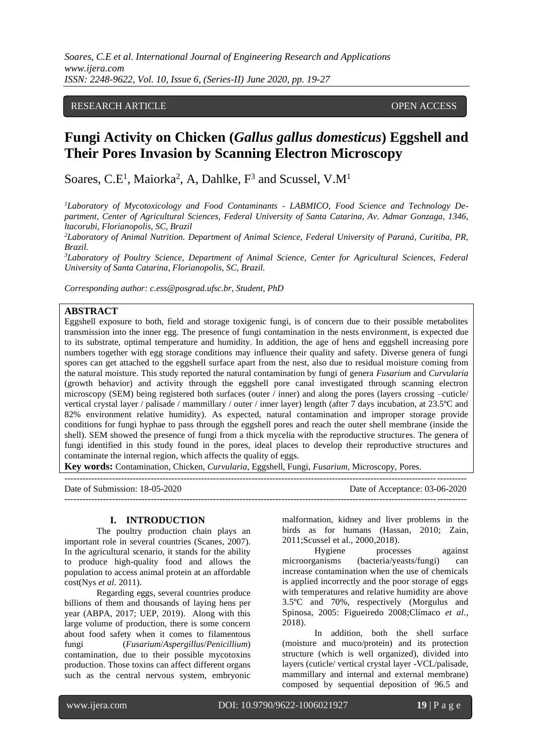# RESEARCH ARTICLE **OPEN ACCESS**

# **Fungi Activity on Chicken (***Gallus gallus domesticus***) Eggshell and Their Pores Invasion by Scanning Electron Microscopy**

Soares, C.E<sup>1</sup>, Maiorka<sup>2</sup>, A, Dahlke,  $F^3$  and Scussel, V.M<sup>1</sup>

*<sup>1</sup>Laboratory of Mycotoxicology and Food Contaminants - LABMICO, Food Science and Technology Department, Center of Agricultural Sciences, Federal University of Santa Catarina, Av. Admar Gonzaga, 1346, ltacorubi, Florianopolis, SC, Brazil*

*<sup>2</sup>Laboratory of Animal Nutrition. Department of Animal Science, Federal University of Paraná, Curitiba, PR, Brazil.*

*<sup>3</sup>Laboratory of Poultry Science, Department of Animal Science, Center for Agricultural Sciences, Federal University of Santa Catarina, Florianopolis, SC, Brazil.* 

*Corresponding author: c.ess@posgrad.ufsc.br, Student, PhD*

# **ABSTRACT**

Eggshell exposure to both, field and storage toxigenic fungi, is of concern due to their possible metabolites transmission into the inner egg. The presence of fungi contamination in the nests environment, is expected due to its substrate, optimal temperature and humidity. In addition, the age of hens and eggshell increasing pore numbers together with egg storage conditions may influence their quality and safety. Diverse genera of fungi spores can get attached to the eggshell surface apart from the nest, also due to residual moisture coming from the natural moisture. This study reported the natural contamination by fungi of genera *Fusarium* and *Curvularia* (growth behavior) and activity through the eggshell pore canal investigated through scanning electron microscopy (SEM) being registered both surfaces (outer / inner) and along the pores (layers crossing –cuticle/ vertical crystal layer / palisade / mammillary / outer / inner layer) length (after 7 days incubation, at 23.5ºC and 82% environment relative humidity). As expected, natural contamination and improper storage provide conditions for fungi hyphae to pass through the eggshell pores and reach the outer shell membrane (inside the shell). SEM showed the presence of fungi from a thick mycelia with the reproductive structures. The genera of fungi identified in this study found in the pores, ideal places to develop their reproductive structures and contaminate the internal region, which affects the quality of eggs.

**Key words:** Contamination, Chicken, *Curvularia*, Eggshell, Fungi, *Fusarium*, Microscopy, Pores.

Date of Submission: 18-05-2020 Date of Acceptance: 03-06-2020  $-1\leq i\leq n-1\leq n-1\leq n-1\leq n-1\leq n-1\leq n-1\leq n-1\leq n-1\leq n-1\leq n-1\leq n-1\leq n-1\leq n-1\leq n-1\leq n-1\leq n-1\leq n-1\leq n-1\leq n-1\leq n-1\leq n-1\leq n-1\leq n-1\leq n-1\leq n-1\leq n-1\leq n-1\leq n-1\leq n-1\leq n-1\leq n-1\leq n-1\leq n-1\leq n-1\leq n-1\leq n$ 

#### **I. INTRODUCTION**

The poultry production chain plays an important role in several countries (Scanes, 2007). In the agricultural scenario, it stands for the ability to produce high-quality food and allows the population to access animal protein at an affordable cost(Nys *et al.* 2011).

Regarding eggs, several countries produce billions of them and thousands of laying hens per year (ABPA, 2017; UEP, 2019). Along with this large volume of production, there is some concern about food safety when it comes to filamentous fungi (*Fusarium*/*Aspergillus*/*Penicillium*) contamination, due to their possible mycotoxins production. Those toxins can affect different organs such as the central nervous system, embryonic malformation, kidney and liver problems in the birds as for humans (Hassan, 2010; Zain, 2011;Scussel et al., 2000,2018).

 $-1\leq i\leq n-1$ 

Hygiene processes against microorganisms (bacteria/yeasts/fungi) can increase contamination when the use of chemicals is applied incorrectly and the poor storage of eggs with temperatures and relative humidity are above 3.5ºC and 70%, respectively (Morgulus and Spinosa, 2005: Figueiredo 2008;Clímaco *et al.*, 2018).

In addition, both the shell surface (moisture and muco/protein) and its protection structure (which is well organized), divided into layers (cuticle/ vertical crystal layer -VCL/palisade, mammillary and internal and external membrane) composed by sequential deposition of 96.5 and

www.ijera.com DOI: 10.9790/9622-1006021927 **19** | P a g e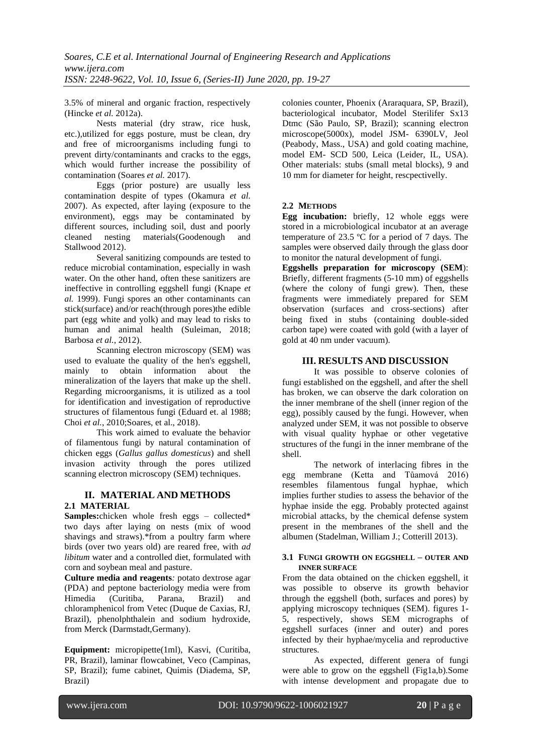3.5% of mineral and organic fraction, respectively (Hincke *et al.* 2012a).

Nests material (dry straw, rice husk, etc.),utilized for eggs posture, must be clean, dry and free of microorganisms including fungi to prevent dirty/contaminants and cracks to the eggs, which would further increase the possibility of contamination (Soares *et al.* 2017).

Eggs (prior posture) are usually less contamination despite of types (Okamura *et al.* 2007). As expected, after laying (exposure to the environment), eggs may be contaminated by different sources, including soil, dust and poorly cleaned nesting materials(Goodenough and Stallwood 2012).

Several sanitizing compounds are tested to reduce microbial contamination, especially in wash water. On the other hand, often these sanitizers are ineffective in controlling eggshell fungi (Knape *et al.* 1999). Fungi spores an other contaminants can stick(surface) and/or reach(through pores)the edible part (egg white and yolk) and may lead to risks to human and animal health (Suleiman, 2018; Barbosa *et al.*, 2012).

Scanning electron microscopy (SEM) was used to evaluate the quality of the hen's eggshell, mainly to obtain information about the mineralization of the layers that make up the shell. Regarding microorganisms, it is utilized as a tool for identification and investigation of reproductive structures of filamentous fungi (Eduard et. al 1988; Choi *et al.*, 2010;Soares, et al., 2018).

This work aimed to evaluate the behavior of filamentous fungi by natural contamination of chicken eggs (*Gallus gallus domesticus*) and shell invasion activity through the pores utilized scanning electron microscopy (SEM) techniques.

## **II. MATERIAL AND METHODS 2.1 MATERIAL**

**Samples:**chicken whole fresh eggs – collected\* two days after laying on nests (mix of wood shavings and straws).\*from a poultry farm where birds (over two years old) are reared free, with *ad libitum* water and a controlled diet, formulated with corn and soybean meal and pasture.

**Culture media and reagents***:* potato dextrose agar (PDA) and peptone bacteriology media were from Himedia (Curitiba, Parana, Brazil) and chloramphenicol from Vetec (Duque de Caxias, RJ, Brazil), phenolphthalein and sodium hydroxide, from Merck (Darmstadt,Germany).

**Equipment:** micropipette(1ml), Kasvi, (Curitiba, PR, Brazil), laminar flowcabinet, Veco (Campinas, SP, Brazil); fume cabinet, Quimis (Diadema, SP, Brazil)

colonies counter, Phoenix (Araraquara, SP, Brazil), bacteriological incubator, Model Sterilifer Sx13 Dtmc (São Paulo, SP, Brazil); scanning electron microscope(5000x), model JSM- 6390LV, Jeol (Peabody, Mass., USA) and gold coating machine, model EM- SCD 500, Leica (Leider, IL, USA). Other materials: stubs (small metal blocks), 9 and 10 mm for diameter for height, rescpectivelly.

# **2.2 METHODS**

**Egg incubation:** briefly, 12 whole eggs were stored in a microbiological incubator at an average temperature of 23.5  $\degree$ C for a period of 7 days. The samples were observed daily through the glass door to monitor the natural development of fungi.

**Eggshells preparation for microscopy (SEM**): Briefly, different fragments (5-10 mm) of eggshells (where the colony of fungi grew). Then, these fragments were immediately prepared for SEM observation (surfaces and cross-sections) after being fixed in stubs (containing double-sided carbon tape) were coated with gold (with a layer of gold at 40 nm under vacuum).

# **III. RESULTS AND DISCUSSION**

It was possible to observe colonies of fungi established on the eggshell, and after the shell has broken, we can observe the dark coloration on the inner membrane of the shell (inner region of the egg), possibly caused by the fungi. However, when analyzed under SEM, it was not possible to observe with visual quality hyphae or other vegetative structures of the fungi in the inner membrane of the shell.

The network of interlacing fibres in the egg membrane (Ketta and Tůamová 2016) resembles filamentous fungal hyphae, which implies further studies to assess the behavior of the hyphae inside the egg. Probably protected against microbial attacks, by the chemical defense system present in the membranes of the shell and the albumen (Stadelman, William J.; Cotterill 2013).

### **3.1 FUNGI GROWTH ON EGGSHELL – OUTER AND INNER SURFACE**

From the data obtained on the chicken eggshell, it was possible to observe its growth behavior through the eggshell (both, surfaces and pores) by applying microscopy techniques (SEM). figures 1- 5, respectively, shows SEM micrographs of eggshell surfaces (inner and outer) and pores infected by their hyphae/mycelia and reproductive structures.

As expected, different genera of fungi were able to grow on the eggshell (Fig1a,b).Some with intense development and propagate due to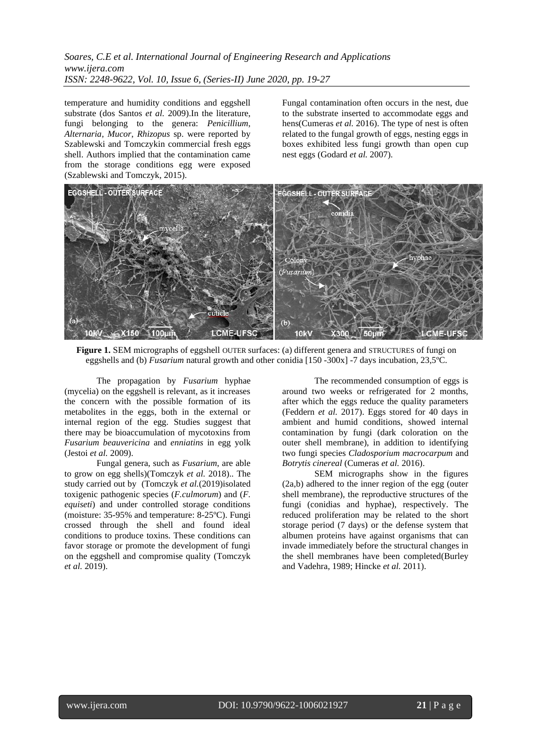temperature and humidity conditions and eggshell substrate (dos Santos *et al.* 2009).In the literature, fungi belonging to the genera: *Penicillium*, *Alternaria*, *Mucor*, *Rhizopus* sp. were reported by Szablewski and Tomczykin commercial fresh eggs shell. Authors implied that the contamination came from the storage conditions egg were exposed (Szablewski and Tomczyk, 2015)*.*

Fungal contamination often occurs in the nest, due to the substrate inserted to accommodate eggs and hens(Cumeras *et al.* 2016). The type of nest is often related to the fungal growth of eggs, nesting eggs in boxes exhibited less fungi growth than open cup nest eggs (Godard *et al.* 2007).



**Figure 1.** SEM micrographs of eggshell OUTER surfaces: (a) different genera and STRUCTURES of fungi on eggshells and (b) *Fusarium* natural growth and other conidia [150 -300x] -7 days incubation, 23,5ºC.

The propagation by *Fusarium* hyphae (mycelia) on the eggshell is relevant, as it increases the concern with the possible formation of its metabolites in the eggs, both in the external or internal region of the egg. Studies suggest that there may be bioaccumulation of mycotoxins from *Fusarium beauvericina* and *enniatins* in egg yolk (Jestoi *et al.* 2009).

Fungal genera, such as *Fusarium*, are able to grow on egg shells)(Tomczyk *et al.* 2018).. The study carried out by (Tomczyk *et al.*(2019)isolated toxigenic pathogenic species (*F.culmorum*) and (*F. equiseti*) and under controlled storage conditions (moisture: 35-95% and temperature: 8-25ºC). Fungi crossed through the shell and found ideal conditions to produce toxins. These conditions can favor storage or promote the development of fungi on the eggshell and compromise quality (Tomczyk *et al.* 2019).

The recommended consumption of eggs is around two weeks or refrigerated for 2 months, after which the eggs reduce the quality parameters (Feddern *et al.* 2017). Eggs stored for 40 days in ambient and humid conditions, showed internal contamination by fungi (dark coloration on the outer shell membrane), in addition to identifying two fungi species *Cladosporium macrocarpum* and *Botrytis cinereal* (Cumeras *et al.* 2016).

SEM micrographs show in the figures (2a,b) adhered to the inner region of the egg (outer shell membrane), the reproductive structures of the fungi (conidias and hyphae), respectively. The reduced proliferation may be related to the short storage period (7 days) or the defense system that albumen proteins have against organisms that can invade immediately before the structural changes in the shell membranes have been completed(Burley and Vadehra, 1989; Hincke *et al.* 2011).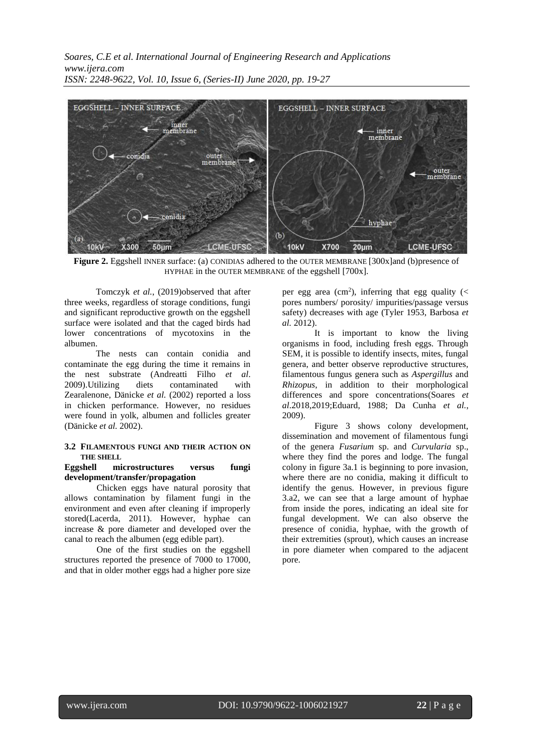

**Figure 2.** Eggshell INNER surface: (a) CONIDIAS adhered to the OUTER MEMBRANE [300x]and (b)presence of HYPHAE in the OUTER MEMBRANE of the eggshell [700x].

Tomczyk *et al.*, (2019)observed that after three weeks, regardless of storage conditions, fungi and significant reproductive growth on the eggshell surface were isolated and that the caged birds had lower concentrations of mycotoxins in the albumen.

The nests can contain conidia and contaminate the egg during the time it remains in the nest substrate (Andreatti Filho *et al*. 2009).Utilizing diets contaminated with Zearalenone, Dänicke *et al.* (2002) reported a loss in chicken performance. However, no residues were found in yolk, albumen and follicles greater (Dänicke *et al.* 2002).

#### **3.2 FILAMENTOUS FUNGI AND THEIR ACTION ON THE SHELL**

#### **Eggshell microstructures versus fungi development/transfer/propagation**

Chicken eggs have natural porosity that allows contamination by filament fungi in the environment and even after cleaning if improperly stored(Lacerda, 2011). However, hyphae can increase & pore diameter and developed over the canal to reach the albumen (egg edible part).

One of the first studies on the eggshell structures reported the presence of 7000 to 17000, and that in older mother eggs had a higher pore size

per egg area (cm<sup>2</sup>), inferring that egg quality (< pores numbers/ porosity/ impurities/passage versus safety) decreases with age (Tyler 1953, Barbosa *et al.* 2012).

It is important to know the living organisms in food, including fresh eggs. Through SEM, it is possible to identify insects, mites, fungal genera, and better observe reproductive structures, filamentous fungus genera such as *Aspergillus* and *Rhizopus*, in addition to their morphological differences and spore concentrations(Soares *et al*.2018,2019;Eduard, 1988; Da Cunha *et al.*, 2009).

Figure 3 shows colony development, dissemination and movement of filamentous fungi of the genera *Fusarium* sp. and *Curvularia* sp., where they find the pores and lodge. The fungal colony in figure 3a.1 is beginning to pore invasion, where there are no conidia, making it difficult to identify the genus. However, in previous figure 3.a2, we can see that a large amount of hyphae from inside the pores, indicating an ideal site for fungal development. We can also observe the presence of conidia, hyphae, with the growth of their extremities (sprout), which causes an increase in pore diameter when compared to the adjacent pore.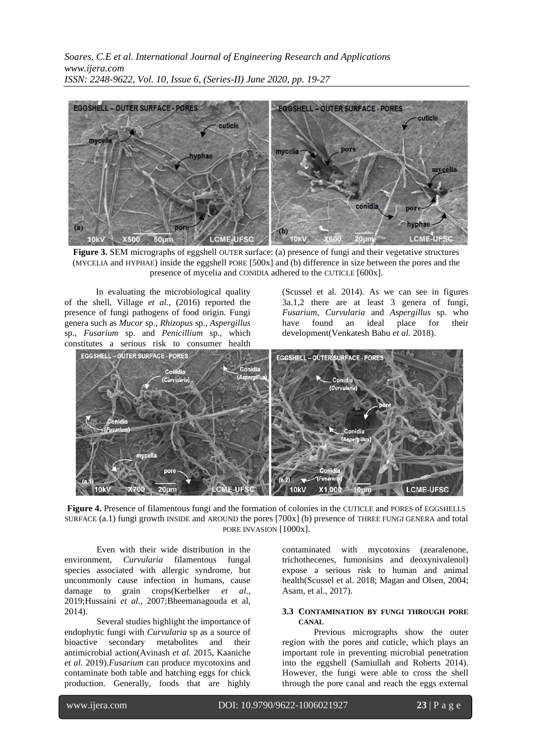

**Figure 3.** SEM micrographs of eggshell OUTER surface: (a) presence of fungi and their vegetative structures (MYCELIA and HYPHAE) inside the eggshell PORE [500x] and (b) difference in size between the pores and the presence of mycelia and CONIDIA adhered to the CUTICLE [600x].

In evaluating the microbiological quality of the shell, Village *et al.*, (2016) reported the presence of fungi pathogens of food origin. Fungi genera such as *Mucor* sp., *Rhizopus* sp., *Aspergillus* sp., *Fusarium* sp. and *Penicillium* sp., which constitutes a serious risk to consumer health

(Scussel et al. 2014). As we can see in figures 3a.1,2 there are at least 3 genera of fungi, *Fusarium*, *Curvularia* and *Aspergillus* sp. who have found an ideal place for their development(Venkatesh Babu *et al.* 2018).



**Figure 4.** Presence of filamentous fungi and the formation of colonies in the CUTICLE and PORES of EGGSHELLS SURFACE (a.1) fungi growth INSIDE and AROUND the pores [700x] (b) presence of THREE FUNGI GENERA and total PORE INVASION [1000x].

Even with their wide distribution in the environment, *Curvularia* filamentous fungal species associated with allergic syndrome, but uncommonly cause infection in humans, cause damage to grain crops(Kerbelker *et al.*, 2019;Hussaini *et al.*, 2007;Bheemanagouda et al, 2014).

Several studies highlight the importance of endophytic fungi with *Curvularia* sp as a source of bioactive secondary metabolites and their antimicrobial action(Avinash *et al.* 2015, Kaaniche *et al.* 2019).*Fusarium* can produce mycotoxins and contaminate both table and hatching eggs for chick production. Generally, foods that are highly

contaminated with mycotoxins (zearalenone, trichothecenes, fumonisins and deoxynivalenol) expose a serious risk to human and animal health(Scussel et al. 2018; Magan and Olsen, 2004; Asam, et al., 2017).

#### **3.3 CONTAMINATION BY FUNGI THROUGH PORE CANAL**

Previous micrographs show the outer region with the pores and cuticle, which plays an important role in preventing microbial penetration into the eggshell (Samiullah and Roberts 2014). However, the fungi were able to cross the shell through the pore canal and reach the eggs external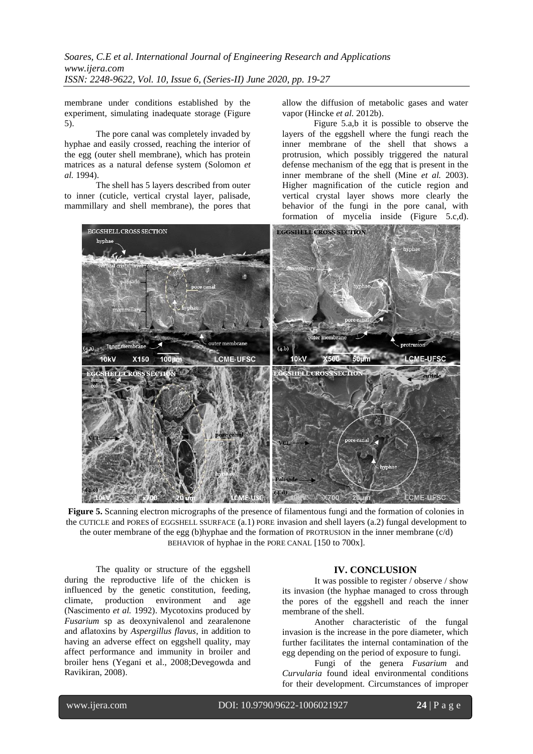membrane under conditions established by the experiment, simulating inadequate storage (Figure 5).

The pore canal was completely invaded by hyphae and easily crossed, reaching the interior of the egg (outer shell membrane), which has protein matrices as a natural defense system (Solomon *et al.* 1994).

The shell has 5 layers described from outer to inner (cuticle, vertical crystal layer, palisade, mammillary and shell membrane), the pores that allow the diffusion of metabolic gases and water vapor (Hincke *et al.* 2012b).

Figure 5.a,b it is possible to observe the layers of the eggshell where the fungi reach the inner membrane of the shell that shows a protrusion, which possibly triggered the natural defense mechanism of the egg that is present in the inner membrane of the shell (Mine *et al.* 2003). Higher magnification of the cuticle region and vertical crystal layer shows more clearly the behavior of the fungi in the pore canal, with formation of mycelia inside (Figure 5.c,d).



**Figure 5.** Scanning electron micrographs of the presence of filamentous fungi and the formation of colonies in the CUTICLE and PORES of EGGSHELL SSURFACE (a.1) PORE invasion and shell layers (a.2) fungal development to the outer membrane of the egg (b)hyphae and the formation of PROTRUSION in the inner membrane (c/d) BEHAVIOR of hyphae in the PORE CANAL [150 to 700x].

The quality or structure of the eggshell during the reproductive life of the chicken is influenced by the genetic constitution, feeding, climate, production environment and age (Nascimento *et al.* 1992). Mycotoxins produced by *Fusarium* sp as deoxynivalenol and zearalenone and aflatoxins by *Aspergillus flavus*, in addition to having an adverse effect on eggshell quality, may affect performance and immunity in broiler and broiler hens (Yegani et al., 2008;Devegowda and Ravikiran, 2008).

#### **IV. CONCLUSION**

It was possible to register / observe / show its invasion (the hyphae managed to cross through the pores of the eggshell and reach the inner membrane of the shell.

Another characteristic of the fungal invasion is the increase in the pore diameter, which further facilitates the internal contamination of the egg depending on the period of exposure to fungi.

Fungi of the genera *Fusarium* and *Curvularia* found ideal environmental conditions for their development. Circumstances of improper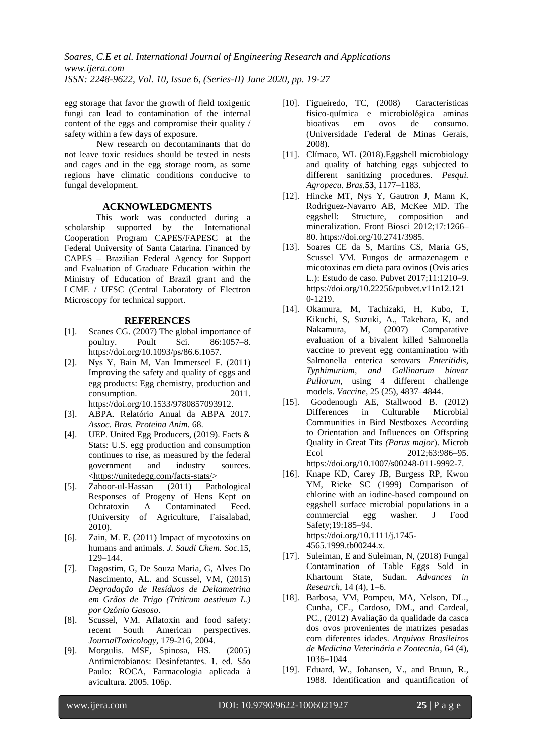egg storage that favor the growth of field toxigenic fungi can lead to contamination of the internal content of the eggs and compromise their quality / safety within a few days of exposure.

New research on decontaminants that do not leave toxic residues should be tested in nests and cages and in the egg storage room, as some regions have climatic conditions conducive to fungal development.

#### **ACKNOWLEDGMENTS**

This work was conducted during a scholarship supported by the International Cooperation Program CAPES/FAPESC at the Federal University of Santa Catarina. Financed by CAPES – Brazilian Federal Agency for Support and Evaluation of Graduate Education within the Ministry of Education of Brazil grant and the LCME / UFSC (Central Laboratory of Electron Microscopy for technical support.

### **REFERENCES**

- [1]. Scanes CG. (2007) The global importance of poultry. Poult Sci. 86:1057–8. https://doi.org/10.1093/ps/86.6.1057.
- [2]. Nys Y, Bain M, Van Immerseel F. (2011) Improving the safety and quality of eggs and egg products: Egg chemistry, production and consumption. 2011. https://doi.org/10.1533/9780857093912.
- [3]. ABPA. Relatório Anual da ABPA 2017. *Assoc. Bras. Proteina Anim.* 68.
- [4]. UEP. United Egg Producers, (2019). Facts & Stats: U.S. egg production and consumption continues to rise, as measured by the federal government and industry sources. [<https://unitedegg.com/facts-stats/>](https://unitedegg.com/facts-stats/)
- [5]. Zahoor-ul-Hassan (2011) Pathological Responses of Progeny of Hens Kept on Ochratoxin A Contaminated Feed. (University of Agriculture, Faisalabad, 2010).
- [6]. Zain, M. E. (2011) Impact of mycotoxins on humans and animals. *J. Saudi Chem. Soc.*15, 129–144.
- [7]. Dagostim, G, De Souza Maria, G, Alves Do Nascimento, AL. and Scussel, VM, (2015) *Degradação de Resíduos de Deltametrina em Grãos de Trigo (Triticum aestivum L.) por Ozônio Gasoso*.
- [8]. Scussel, VM. Aflatoxin and food safety: recent South American perspectives*. JournalToxicology*, 179-216, 2004.
- [9]. Morgulis. MSF, Spinosa, HS. (2005) Antimicrobianos: Desinfetantes. 1. ed. São Paulo: ROCA, Farmacologia aplicada à avicultura. 2005. 106p.
- [10]. Figueiredo, TC, (2008) Características físico-química e microbiológica aminas bioativas em ovos de consumo. (Universidade Federal de Minas Gerais, 2008).
- [11]. Clímaco, WL (2018)*.*Eggshell microbiology and quality of hatching eggs subjected to different sanitizing procedures. *Pesqui. Agropecu. Bras.***53**, 1177–1183.
- [12]. Hincke MT, Nys Y, Gautron J, Mann K, Rodriguez-Navarro AB, McKee MD. The eggshell: Structure, composition and mineralization. Front Biosci 2012;17:1266– 80. https://doi.org/10.2741/3985.
- [13]. Soares CE da S, Martins CS, Maria GS, Scussel VM. Fungos de armazenagem e micotoxinas em dieta para ovinos (Ovis aries L.): Estudo de caso. Pubvet 2017;11:1210–9. https://doi.org/10.22256/pubvet.v11n12.121 0-1219.
- [14]. Okamura, M, Tachizaki, H, Kubo, T, Kikuchi, S, Suzuki, A., Takehara, K, and Nakamura, M, (2007) Comparative evaluation of a bivalent killed Salmonella vaccine to prevent egg contamination with Salmonella enterica serovars *Enteritidis, Typhimurium, and Gallinarum biovar Pullorum*, using 4 different challenge models. *Vaccine*, 25 (25), 4837–4844.
- [15]. Goodenough AE, Stallwood B. (2012) Differences in Culturable Microbial Communities in Bird Nestboxes According to Orientation and Influences on Offspring Quality in Great Tits *(Parus major*). Microb Ecol 2012:63:986–95. https://doi.org/10.1007/s00248-011-9992-7.
- [16]. Knape KD, Carey JB, Burgess RP, Kwon YM, Ricke SC (1999) Comparison of chlorine with an iodine-based compound on eggshell surface microbial populations in a commercial egg washer. J Food Safety;19:185–94. https://doi.org/10.1111/j.1745- 4565.1999.tb00244.x.
- [17]. Suleiman, E and Suleiman, N, (2018) Fungal Contamination of Table Eggs Sold in Khartoum State, Sudan. *Advances in Research*, 14 (4), 1–6.
- [18]. Barbosa, VM, Pompeu, MA, Nelson, DL., Cunha, CE., Cardoso, DM., and Cardeal, PC., (2012) Avaliação da qualidade da casca dos ovos provenientes de matrizes pesadas com diferentes idades. *Arquivos Brasileiros de Medicina Veterinária e Zootecnia*, 64 (4), 1036–1044
- [19]. Eduard, W., Johansen, V., and Bruun, R., 1988. Identification and quantification of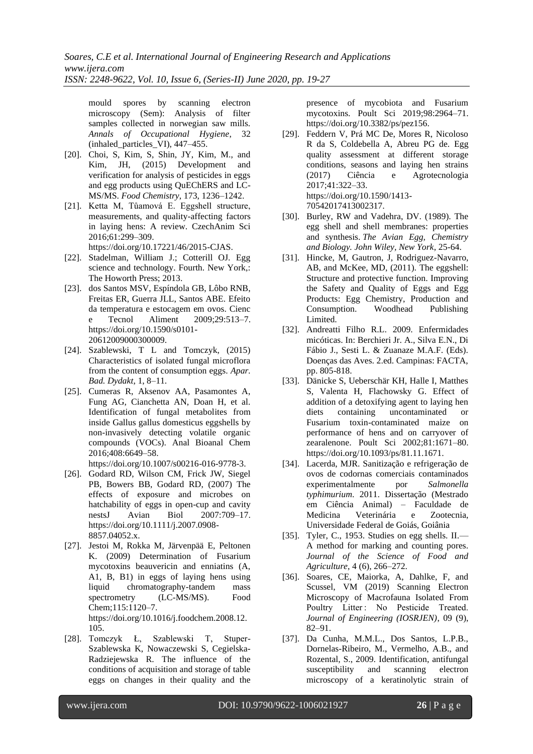mould spores by scanning electron microscopy (Sem): Analysis of filter samples collected in norwegian saw mills. *Annals of Occupational Hygiene*, 32 (inhaled\_particles\_VI), 447–455.

- [20]. Choi, S, Kim, S, Shin, JY, Kim, M., and Kim, JH, (2015) Development and verification for analysis of pesticides in eggs and egg products using QuEChERS and LC-MS/MS. *Food Chemistry*, 173, 1236–1242.
- [21]. Ketta M, Tůamová E. Eggshell structure, measurements, and quality-affecting factors in laying hens: A review. CzechAnim Sci 2016;61:299–309.

https://doi.org/10.17221/46/2015-CJAS.

- [22]. Stadelman, William J.; Cotterill OJ. Egg science and technology. Fourth. New York,: The Howorth Press; 2013.
- [23]. dos Santos MSV, Espíndola GB, Lôbo RNB, Freitas ER, Guerra JLL, Santos ABE. Efeito da temperatura e estocagem em ovos. Cienc e Tecnol Aliment 2009;29:513–7. https://doi.org/10.1590/s0101- 20612009000300009.
- [24]. Szablewski, T L and Tomczyk, (2015) Characteristics of isolated fungal microflora from the content of consumption eggs. *Apar. Bad. Dydakt*, 1, 8–11.
- [25]. Cumeras R, Aksenov AA, Pasamontes A, Fung AG, Cianchetta AN, Doan H, et al. Identification of fungal metabolites from inside Gallus gallus domesticus eggshells by non-invasively detecting volatile organic compounds (VOCs). Anal Bioanal Chem 2016;408:6649–58. https://doi.org/10.1007/s00216-016-9778-3.
- [26]. Godard RD, Wilson CM, Frick JW, Siegel PB, Bowers BB, Godard RD, (2007) The effects of exposure and microbes on hatchability of eggs in open-cup and cavity nestsJ Avian Biol 2007:709–17. https://doi.org/10.1111/j.2007.0908-
- 8857.04052.x. [27]. Jestoi M, Rokka M, Järvenpää E, Peltonen K. (2009) Determination of Fusarium mycotoxins beauvericin and enniatins (A, A1, B, B1) in eggs of laying hens using liquid chromatography-tandem mass spectrometry (LC-MS/MS). Food Chem;115:1120–7. https://doi.org/10.1016/j.foodchem.2008.12. 105.
- [28]. Tomczyk Ł, Szablewski T, Stuper-Szablewska K, Nowaczewski S, Cegielska-Radziejewska R. The influence of the conditions of acquisition and storage of table eggs on changes in their quality and the

presence of mycobiota and Fusarium mycotoxins. Poult Sci 2019;98:2964–71. https://doi.org/10.3382/ps/pez156.

- [29]. Feddern V, Prá MC De, Mores R, Nicoloso R da S, Coldebella A, Abreu PG de. Egg quality assessment at different storage conditions, seasons and laying hen strains (2017) Ciência e Agrotecnologia 2017;41:322–33. https://doi.org/10.1590/1413- 70542017413002317.
- [30]. Burley, RW and Vadehra, DV. (1989). The egg shell and shell membranes: properties and synthesis. *The Avian Egg, Chemistry and Biology. John Wiley, New York*, 25-64.
- [31]. Hincke, M, Gautron, J, Rodriguez-Navarro, AB, and McKee, MD, (2011). The eggshell: Structure and protective function. Improving the Safety and Quality of Eggs and Egg Products: Egg Chemistry, Production and Consumption. Woodhead Publishing Limited.
- [32]. Andreatti Filho R.L. 2009. Enfermidades micóticas. In: Berchieri Jr. A., Silva E.N., Di Fábio J., Sesti L. & Zuanaze M.A.F. (Eds). Doenças das Aves. 2.ed. Campinas: FACTA, pp. 805-818.
- [33]. Dänicke S, Ueberschär KH, Halle I, Matthes S, Valenta H, Flachowsky G. Effect of addition of a detoxifying agent to laying hen diets containing uncontaminated or Fusarium toxin-contaminated maize on performance of hens and on carryover of zearalenone. Poult Sci 2002;81:1671–80. https://doi.org/10.1093/ps/81.11.1671.
- [34]. Lacerda, MJR. Sanitização e refrigeração de ovos de codornas comerciais contaminados experimentalmente por *Salmonella typhimurium*. 2011. Dissertação (Mestrado em Ciência Animal) – Faculdade de Medicina Veterinária e Zootecnia, Universidade Federal de Goiás, Goiânia
- [35]. Tyler, C., 1953. Studies on egg shells. II.— A method for marking and counting pores. *Journal of the Science of Food and Agriculture*, 4 (6), 266–272.
- [36]. Soares, CE, Maiorka, A, Dahlke, F, and Scussel, VM (2019) Scanning Electron Microscopy of Macrofauna Isolated From Poultry Litter : No Pesticide Treated. *Journal of Engineering (IOSRJEN)*, 09 (9), 82–91.
- [37]. Da Cunha, M.M.L., Dos Santos, L.P.B., Dornelas-Ribeiro, M., Vermelho, A.B., and Rozental, S., 2009. Identification, antifungal susceptibility and scanning electron microscopy of a keratinolytic strain of